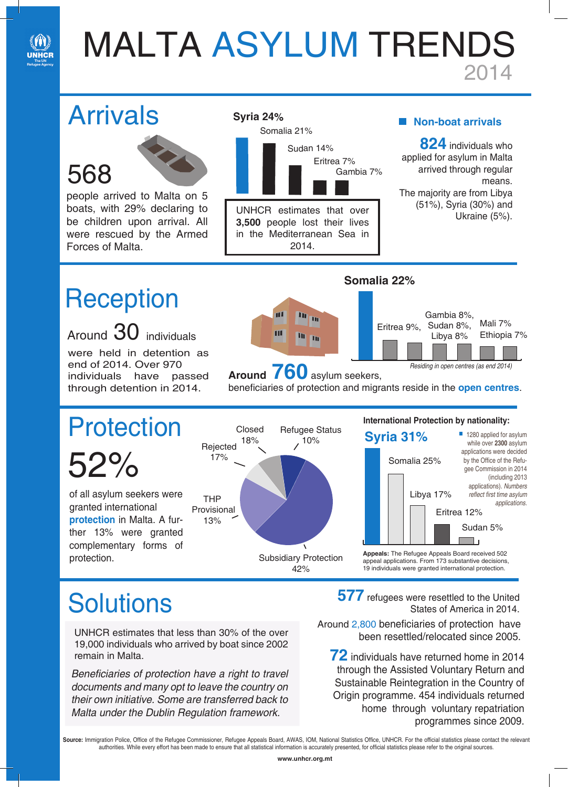

## MALTA ASYLUM TRENDS 2014



42%

**Solutions** 577 refugees were resettled to the United States of America in 2014.

Around 2,800 beneficiaries of protection have

**72** individuals have returned home in 2014 through the Assisted Voluntary Return and Sustainable Reintegration in the Country of Origin programme. 454 individuals returned home through voluntary repatriation programmes since 2009.

UNHCR estimates that less than 30% of the over<br>been resettled/relocated since 2005. 19,000 individuals who arrived by boat since 2002 remain in Malta.

Beneficiaries of protection have a right to travel documents and many opt to leave the country on their own initiative. Some are transferred back to Malta under the Dublin Regulation framework.

Source: Immigration Police, Office of the Refugee Commissioner, Refugee Appeals Board, AWAS, IOM, National Statistics Office, UNHCR. For the official statistics please contact the relevant authorities. While every effort has been made to ensure that all statistical information is accurately presented, for official statistics please refer to the original sources.